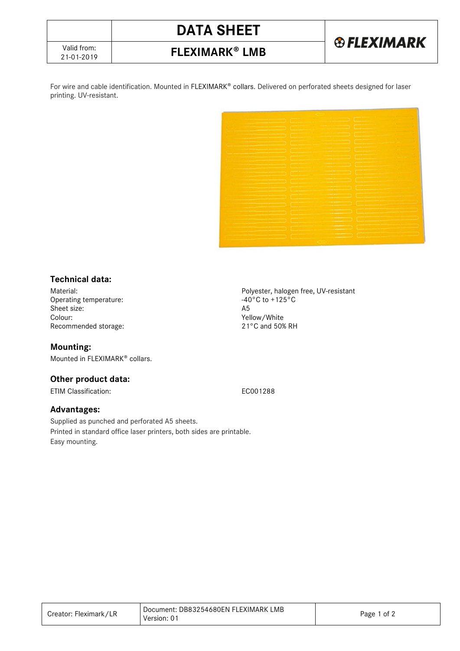# **DATA SHEET**



21-01-2019 **FLEXIMARK LMB**

For wire and cable identification. Mounted in FLEXIMARK® collars. Delivered on perforated sheets designed for laser printing. UV-resistant.



## **Technical data:**

Operating temperature:  $\begin{array}{ccc} -40 \\ -45 \end{array}$ Sheet size:<br>Colour: Recommended storage:

### **Mounting:**

Mounted in FLEXIMARK<sup>®</sup> collars.

### **Other product data:**

ETIM Classification: EC001288

### **Advantages:**

Supplied as punched and perforated A5 sheets. Printed in standard office laser printers, both sides are printable. Easy mounting.

Material:<br>
Operating temperature:<br>
Operating temperature:<br>  $-40^{\circ}C$  to  $+125^{\circ}C$ Yellow/White<br>21°C and 50% RH

| Creator: Fleximark/LR | Document: DB83254680EN FLEXIMARK LMB<br>Version: 01 | Page 1 of 2 |
|-----------------------|-----------------------------------------------------|-------------|
|-----------------------|-----------------------------------------------------|-------------|